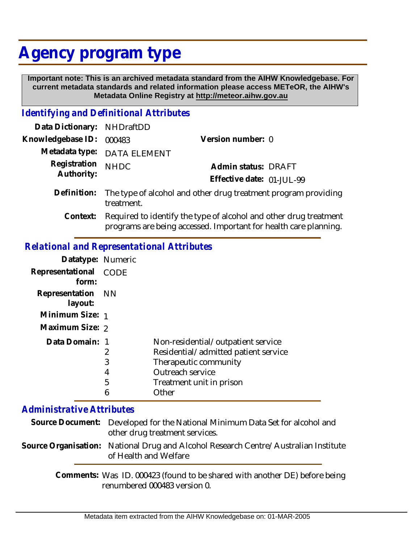## **Agency program type**

 **Important note: This is an archived metadata standard from the AIHW Knowledgebase. For current metadata standards and related information please access METeOR, the AIHW's Metadata Online Registry at http://meteor.aihw.gov.au**

## *Identifying and Definitional Attributes*

| Data Dictionary: NHDraftDD |                                                                                          |                           |  |
|----------------------------|------------------------------------------------------------------------------------------|---------------------------|--|
| Knowledgebase ID: 000483   |                                                                                          | Version number: 0         |  |
|                            | Metadata type: DATA ELEMENT                                                              |                           |  |
| Registration<br>Authority: | <b>NHDC</b>                                                                              | Admin status: DRAFT       |  |
|                            |                                                                                          | Effective date: 01-JUL-99 |  |
|                            | Definition: The type of alcohol and other drug treatment program providing<br>treatment. |                           |  |

Required to identify the type of alcohol and other drug treatment programs are being accessed. Important for health care planning. **Context:**

## *Relational and Representational Attributes*

| Datatype: Numeric            |             |                                      |
|------------------------------|-------------|--------------------------------------|
| Representational<br>form:    | <b>CODE</b> |                                      |
| Representation NN<br>layout: |             |                                      |
| Minimum Size: 1              |             |                                      |
| Maximum Size: 2              |             |                                      |
| Data Domain: 1               |             | Non-residential/outpatient service   |
|                              | 2           | Residential/admitted patient service |
|                              | 3           | Therapeutic community                |
|                              | 4           | Outreach service                     |
|                              | 5           | Treatment unit in prison             |
|                              | 6           | Other                                |

## *Administrative Attributes*

| Source Document: Developed for the National Minimum Data Set for alcohol and<br>other drug treatment services. |
|----------------------------------------------------------------------------------------------------------------|
| Source Organisation: National Drug and Alcohol Research Centre/Australian Institute<br>of Health and Welfare   |

Comments: Was ID. 000423 (found to be shared with another DE) before being renumbered 000483 version 0.